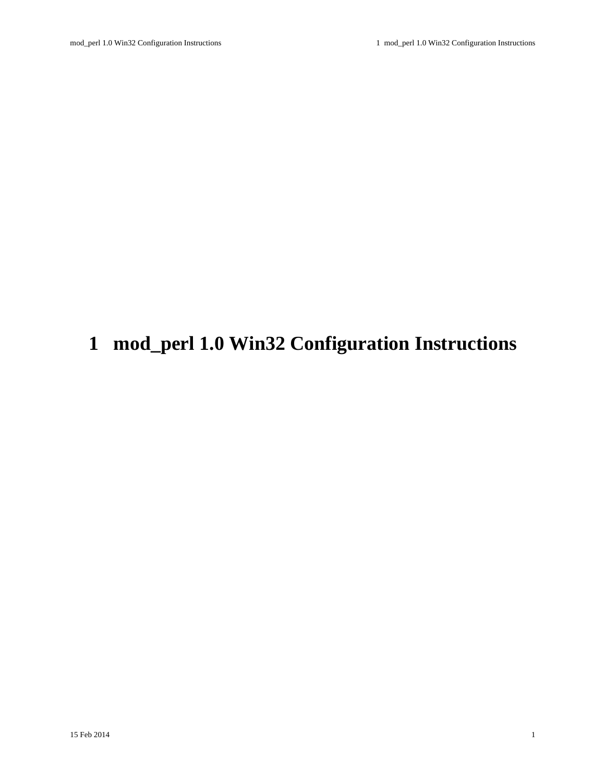# <span id="page-0-0"></span>**1 mod\_perl 1.0 Win32 Configuration Instructions**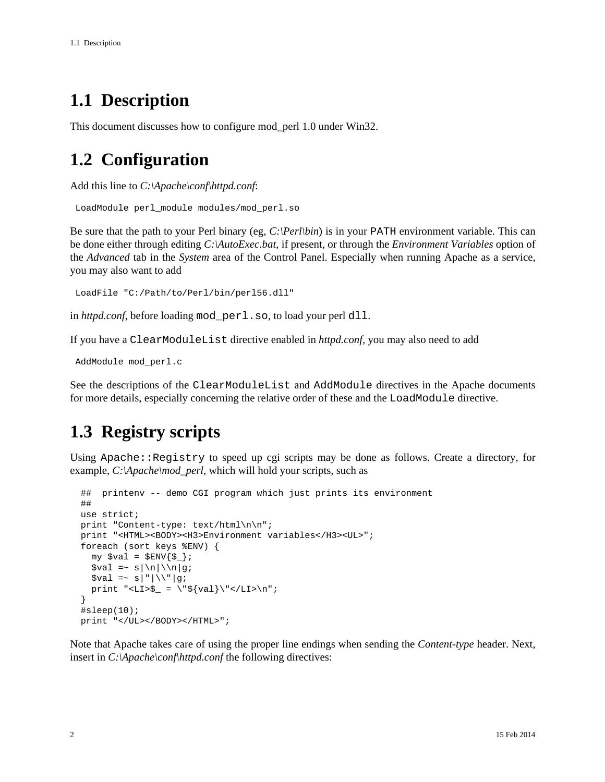## <span id="page-1-0"></span>**1.1 Description**

This document discusses how to configure mod\_perl 1.0 under Win32.

## <span id="page-1-1"></span>**1.2 Configuration**

Add this line to *C:\Apache\conf\httpd.conf*:

```
 LoadModule perl_module modules/mod_perl.so
```
Be sure that the path to your Perl binary (eg, *C:\Perl\bin*) is in your PATH environment variable. This can be done either through editing *C:\AutoExec.bat*, if present, or through the *Environment Variables* option of the *Advanced* tab in the *System* area of the Control Panel. Especially when running Apache as a service, you may also want to add

```
 LoadFile "C:/Path/to/Perl/bin/perl56.dll"
```
in *httpd.conf*, before loading mod perl.so, to load your perl dll.

If you have a ClearModuleList directive enabled in *httpd.conf*, you may also need to add

AddModule mod\_perl.c

See the descriptions of the ClearModuleList and AddModule directives in the Apache documents for more details, especially concerning the relative order of these and the LoadModule directive.

## <span id="page-1-2"></span>**1.3 Registry scripts**

Using Apache::Reqistry to speed up cgi scripts may be done as follows. Create a directory, for example, *C:\Apache\mod\_perl*, which will hold your scripts, such as

```
 ## printenv -- demo CGI program which just prints its environment
    ##
   use strict;
    print "Content-type: text/html\n\n";
   print "<HTML><BODY><H3>Environment variables</H3><UL>";
    foreach (sort keys %ENV) {
      my \frac{1}{5} = \frac{1}{5} \frac{1}{5} = \frac{1}{5} \frac{1}{5} = \frac{1}{5} = \frac{1}{5} = \frac{1}{5} = \frac{1}{5} = \frac{1}{5} = \frac{1}{5} = \frac{1}{5} = \frac{1}{5} = \frac{1}{5} = \frac{1}{5} = \frac{1}{5} = \frac{1}{5} = \frac{1}{5} = \frac{1\text{val} = \text{s} \ln|\ln|g;$val =~ s|"|\\"|g;
      print "<LI>$_ = \"${val}\"</LI>\n";
 }
    #sleep(10);
   print "</UL></BODY></HTML>";
```
Note that Apache takes care of using the proper line endings when sending the *Content-type* header. Next, insert in *C:\Apache\conf\httpd.conf* the following directives: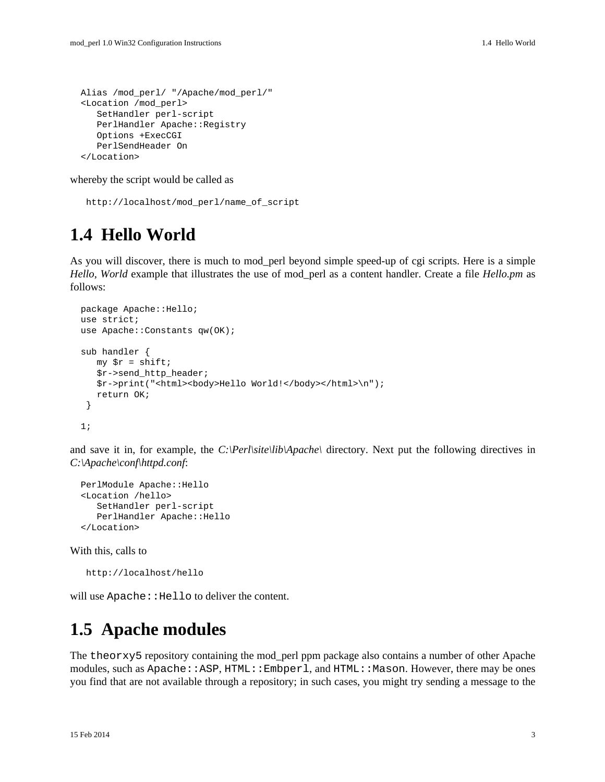```
 Alias /mod_perl/ "/Apache/mod_perl/"
 <Location /mod_perl>
    SetHandler perl-script
   PerlHandler Apache:: Registry
    Options +ExecCGI
    PerlSendHeader On
 </Location>
```
whereby the script would be called as

```
 http://localhost/mod_perl/name_of_script
```
#### <span id="page-2-0"></span>**1.4 Hello World**

As you will discover, there is much to mod\_perl beyond simple speed-up of cgi scripts. Here is a simple *Hello, World* example that illustrates the use of mod\_perl as a content handler. Create a file *Hello.pm* as follows:

```
 package Apache::Hello;
 use strict;
use Apache:: Constants qw(OK);
 sub handler {
   my \text{sr} = \text{shift} $r->send_http_header;
    $r->print("<html><body>Hello World!</body></html>\n");
    return OK;
  }
 1;
```
and save it in, for example, the *C:\Perl\site\lib\Apache\* directory. Next put the following directives in *C:\Apache\conf\httpd.conf*:

```
 PerlModule Apache::Hello
 <Location /hello>
    SetHandler perl-script
    PerlHandler Apache::Hello
 </Location>
```
With this, calls to

http://localhost/hello

will use Apache: : Hello to deliver the content.

#### <span id="page-2-1"></span>**1.5 Apache modules**

The theorxy5 repository containing the mod\_perl ppm package also contains a number of other Apache modules, such as Apache::ASP, HTML::Embperl, and HTML::Mason. However, there may be ones you find that are not available through a repository; in such cases, you might try sending a message to the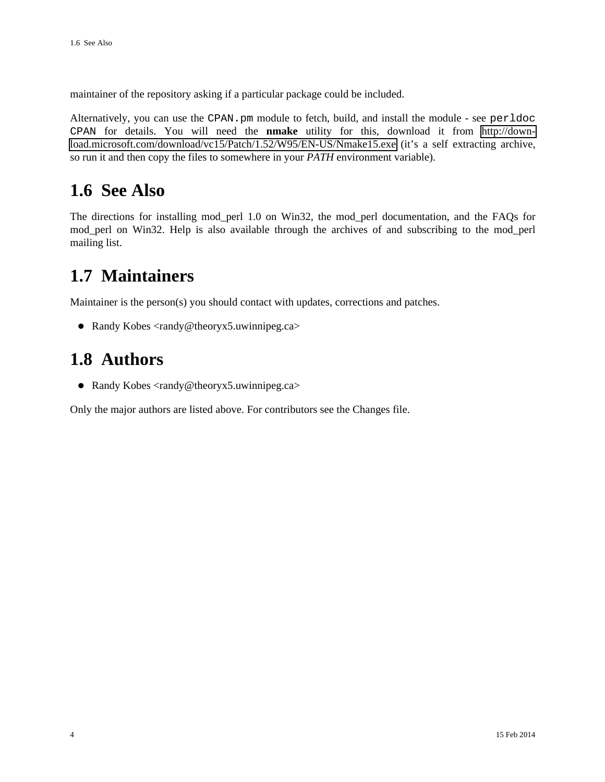maintainer of the repository asking if a particular package could be included.

Alternatively, you can use the CPAN.pm module to fetch, build, and install the module - see perldoc CPAN for details. You will need the **nmake** utility for this, download it from [http://down](http://download.microsoft.com/download/vc15/Patch/1.52/W95/EN-US/Nmake15.exe)[load.microsoft.com/download/vc15/Patch/1.52/W95/EN-US/Nmake15.exe](http://download.microsoft.com/download/vc15/Patch/1.52/W95/EN-US/Nmake15.exe) (it's a self extracting archive, so run it and then copy the files to somewhere in your *PATH* environment variable).

#### <span id="page-3-0"></span>**1.6 See Also**

The directions for installing mod\_perl 1.0 on Win32, the mod\_perl documentation, and the FAQs for mod\_perl on Win32. Help is also available through the archives of and subscribing to the mod\_perl mailing list.

#### <span id="page-3-1"></span>**1.7 Maintainers**

Maintainer is the person(s) you should contact with updates, corrections and patches.

• Randy Kobes <randy@theoryx5.uwinnipeg.ca>

#### <span id="page-3-2"></span>**1.8 Authors**

Randy Kobes <randy@theoryx5.uwinnipeg.ca>

Only the major authors are listed above. For contributors see the Changes file.